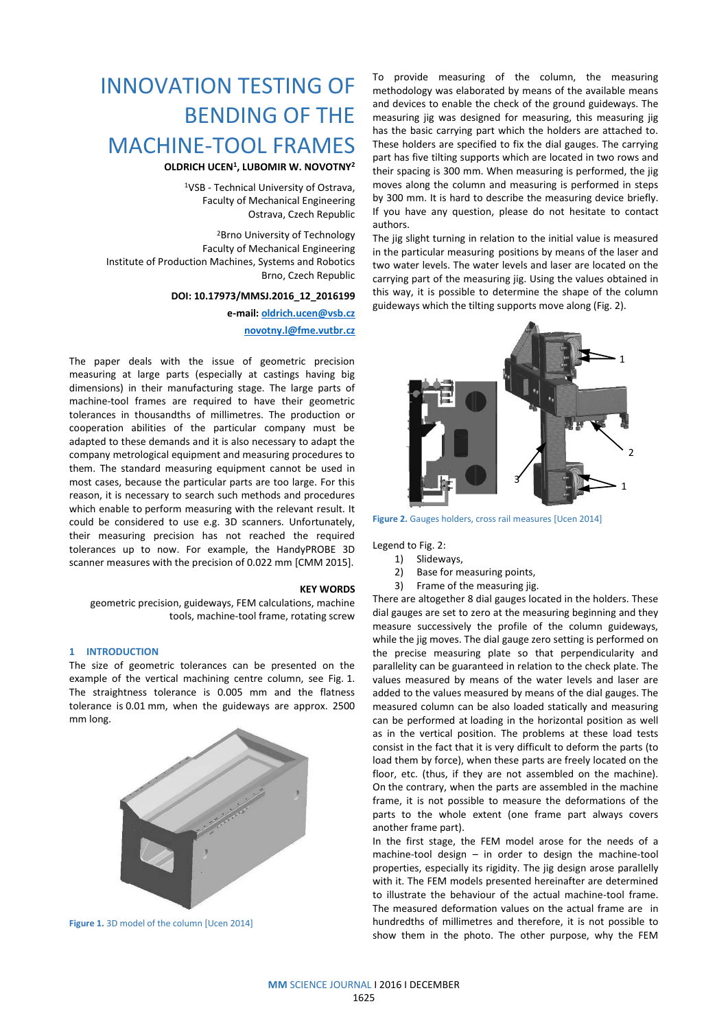# INNOVATION TESTING OF BENDING OF THE MACHINE-TOOL FRAMES

**OLDRICH UCEN<sup>1</sup> , LUBOMIR W. NOVOTNY<sup>2</sup>**

<sup>1</sup>VSB - Technical University of Ostrava, Faculty of Mechanical Engineering Ostrava, Czech Republic

<sup>2</sup>Brno University of Technology Faculty of Mechanical Engineering Institute of Production Machines, Systems and Robotics Brno, Czech Republic

### **DOI: 10.17973/MMSJ.2016\_12\_2016199**

**e-mail: [oldrich.ucen@vsb.cz](mailto:oldrich.ucen@vsb.cz) [novotny.l@fme.vutbr.cz](mailto:novotny.l@fme.vutbr.cz)**

The paper deals with the issue of geometric precision measuring at large parts (especially at castings having big dimensions) in their manufacturing stage. The large parts of machine-tool frames are required to have their geometric tolerances in thousandths of millimetres. The production or cooperation abilities of the particular company must be adapted to these demands and it is also necessary to adapt the company metrological equipment and measuring procedures to them. The standard measuring equipment cannot be used in most cases, because the particular parts are too large. For this reason, it is necessary to search such methods and procedures which enable to perform measuring with the relevant result. It could be considered to use e.g. 3D scanners. Unfortunately, their measuring precision has not reached the required tolerances up to now. For example, the HandyPROBE 3D scanner measures with the precision of 0.022 mm [CMM 2015].

#### **KEY WORDS**

geometric precision, guideways, FEM calculations, machine tools, machine-tool frame, rotating screw

# **1 INTRODUCTION**

The size of geometric tolerances can be presented on the example of the vertical machining centre column, see Fig. 1. The straightness tolerance is 0.005 mm and the flatness tolerance is 0.01 mm, when the guideways are approx. 2500 mm long.



**Figure 1.** 3D model of the column [Ucen 2014]

To provide measuring of the column, the measuring methodology was elaborated by means of the available means and devices to enable the check of the ground guideways. The measuring jig was designed for measuring, this measuring jig has the basic carrying part which the holders are attached to. These holders are specified to fix the dial gauges. The carrying part has five tilting supports which are located in two rows and their spacing is 300 mm. When measuring is performed, the jig moves along the column and measuring is performed in steps by 300 mm. It is hard to describe the measuring device briefly. If you have any question, please do not hesitate to contact authors.

The jig slight turning in relation to the initial value is measured in the particular measuring positions by means of the laser and two water levels. The water levels and laser are located on the carrying part of the measuring jig. Using the values obtained in this way, it is possible to determine the shape of the column guideways which the tilting supports move along (Fig. 2).



**Figure 2.** Gauges holders, cross rail measures [Ucen 2014]

Legend to Fig. 2:

- 1) Slideways,
- 2) Base for measuring points,
- 3) Frame of the measuring jig.

There are altogether 8 dial gauges located in the holders. These dial gauges are set to zero at the measuring beginning and they measure successively the profile of the column guideways, while the jig moves. The dial gauge zero setting is performed on the precise measuring plate so that perpendicularity and parallelity can be guaranteed in relation to the check plate. The values measured by means of the water levels and laser are added to the values measured by means of the dial gauges. The measured column can be also loaded statically and measuring can be performed at loading in the horizontal position as well as in the vertical position. The problems at these load tests consist in the fact that it is very difficult to deform the parts (to load them by force), when these parts are freely located on the floor, etc. (thus, if they are not assembled on the machine). On the contrary, when the parts are assembled in the machine frame, it is not possible to measure the deformations of the parts to the whole extent (one frame part always covers another frame part).

In the first stage, the FEM model arose for the needs of a machine-tool design – in order to design the machine-tool properties, especially its rigidity. The jig design arose parallelly with it. The FEM models presented hereinafter are determined to illustrate the behaviour of the actual machine-tool frame. The measured deformation values on the actual frame are in hundredths of millimetres and therefore, it is not possible to show them in the photo. The other purpose, why the FEM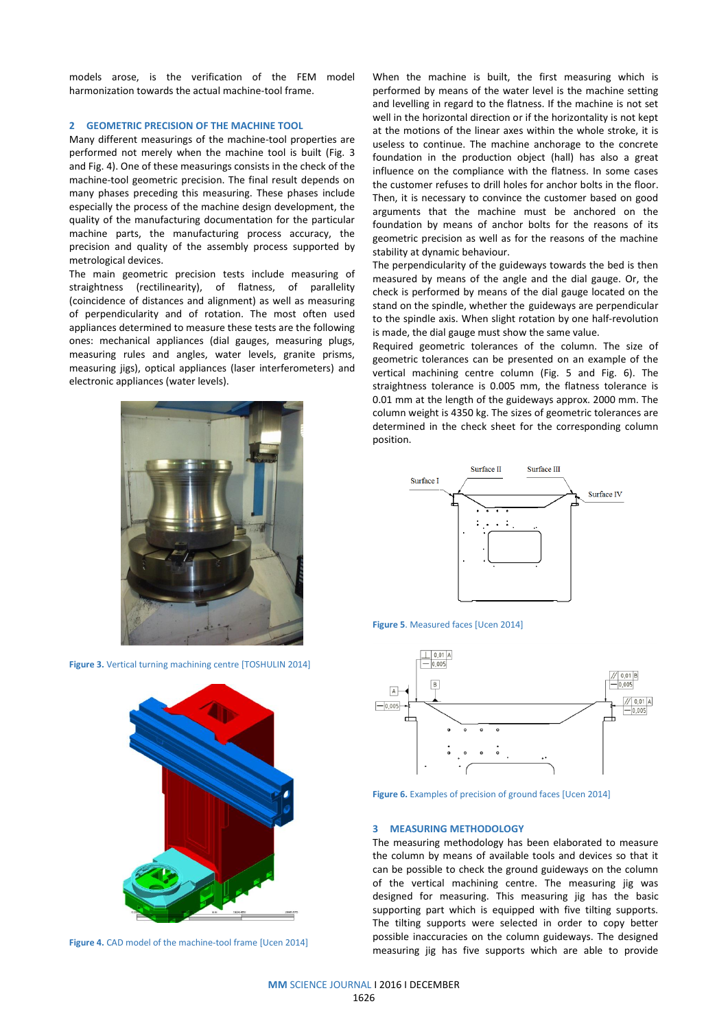models arose, is the verification of the FEM model harmonization towards the actual machine-tool frame.

## **2 GEOMETRIC PRECISION OF THE MACHINE TOOL**

Many different measurings of the machine-tool properties are performed not merely when the machine tool is built (Fig. 3 and Fig. 4). One of these measurings consists in the check of the machine-tool geometric precision. The final result depends on many phases preceding this measuring. These phases include especially the process of the machine design development, the quality of the manufacturing documentation for the particular machine parts, the manufacturing process accuracy, the precision and quality of the assembly process supported by metrological devices.

The main geometric precision tests include measuring of straightness (rectilinearity), of flatness, of parallelity (coincidence of distances and alignment) as well as measuring of perpendicularity and of rotation. The most often used appliances determined to measure these tests are the following ones: mechanical appliances (dial gauges, measuring plugs, measuring rules and angles, water levels, granite prisms, measuring jigs), optical appliances (laser interferometers) and electronic appliances (water levels).



**Figure 3.** Vertical turning machining centre [TOSHULIN 2014]





When the machine is built, the first measuring which is performed by means of the water level is the machine setting and levelling in regard to the flatness. If the machine is not set well in the horizontal direction or if the horizontality is not kept at the motions of the linear axes within the whole stroke, it is useless to continue. The machine anchorage to the concrete foundation in the production object (hall) has also a great influence on the compliance with the flatness. In some cases the customer refuses to drill holes for anchor bolts in the floor. Then, it is necessary to convince the customer based on good arguments that the machine must be anchored on the foundation by means of anchor bolts for the reasons of its geometric precision as well as for the reasons of the machine stability at dynamic behaviour.

The perpendicularity of the guideways towards the bed is then measured by means of the angle and the dial gauge. Or, the check is performed by means of the dial gauge located on the stand on the spindle, whether the guideways are perpendicular to the spindle axis. When slight rotation by one half-revolution is made, the dial gauge must show the same value.

Required geometric tolerances of the column. The size of geometric tolerances can be presented on an example of the vertical machining centre column (Fig. 5 and Fig. 6). The straightness tolerance is 0.005 mm, the flatness tolerance is 0.01 mm at the length of the guideways approx. 2000 mm. The column weight is 4350 kg. The sizes of geometric tolerances are determined in the check sheet for the corresponding column position.



**Figure 5**. Measured faces [Ucen 2014]



**Figure 6.** Examples of precision of ground faces [Ucen 2014]

#### **3 MEASURING METHODOLOGY**

The measuring methodology has been elaborated to measure the column by means of available tools and devices so that it can be possible to check the ground guideways on the column of the vertical machining centre. The measuring jig was designed for measuring. This measuring jig has the basic supporting part which is equipped with five tilting supports. The tilting supports were selected in order to copy better possible inaccuracies on the column guideways. The designed measuring jig has five supports which are able to provide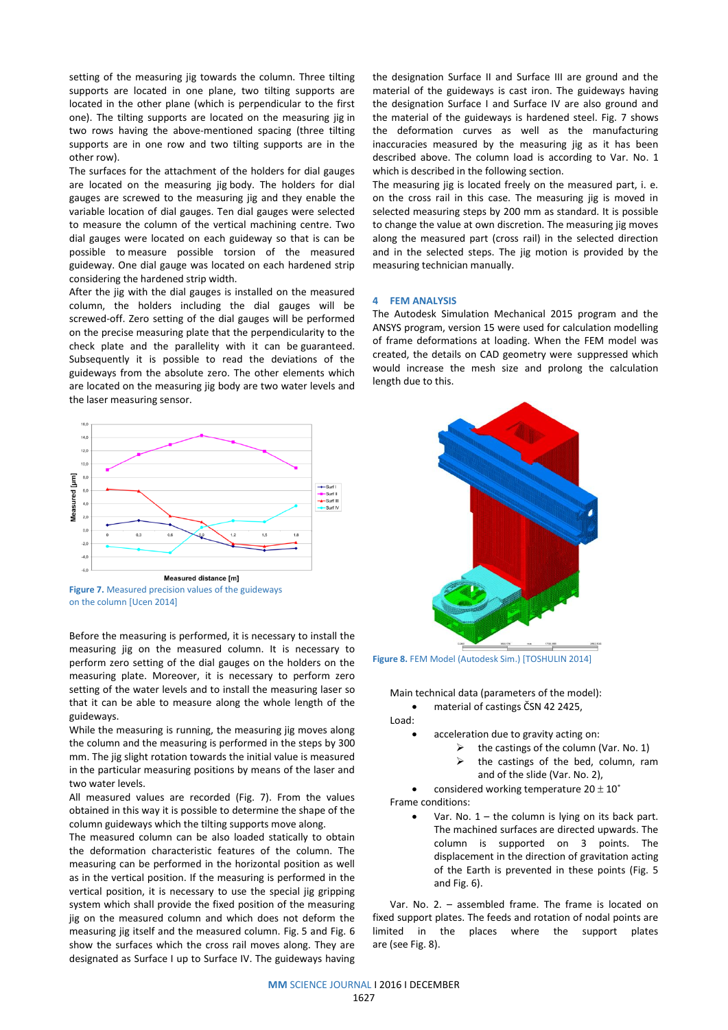setting of the measuring jig towards the column. Three tilting supports are located in one plane, two tilting supports are located in the other plane (which is perpendicular to the first one). The tilting supports are located on the measuring jig in two rows having the above-mentioned spacing (three tilting supports are in one row and two tilting supports are in the other row).

The surfaces for the attachment of the holders for dial gauges are located on the measuring jig body. The holders for dial gauges are screwed to the measuring jig and they enable the variable location of dial gauges. Ten dial gauges were selected to measure the column of the vertical machining centre. Two dial gauges were located on each guideway so that is can be possible to measure possible torsion of the measured guideway. One dial gauge was located on each hardened strip considering the hardened strip width.

After the jig with the dial gauges is installed on the measured column, the holders including the dial gauges will be screwed-off. Zero setting of the dial gauges will be performed on the precise measuring plate that the perpendicularity to the check plate and the parallelity with it can be guaranteed. Subsequently it is possible to read the deviations of the guideways from the absolute zero. The other elements which are located on the measuring jig body are two water levels and the laser measuring sensor.



**Figure 7.** Measured precision values of the guideways on the column [Ucen 2014]

Before the measuring is performed, it is necessary to install the measuring jig on the measured column. It is necessary to perform zero setting of the dial gauges on the holders on the measuring plate. Moreover, it is necessary to perform zero setting of the water levels and to install the measuring laser so that it can be able to measure along the whole length of the guideways.

While the measuring is running, the measuring jig moves along the column and the measuring is performed in the steps by 300 mm. The jig slight rotation towards the initial value is measured in the particular measuring positions by means of the laser and two water levels.

All measured values are recorded (Fig. 7). From the values obtained in this way it is possible to determine the shape of the column guideways which the tilting supports move along.

The measured column can be also loaded statically to obtain the deformation characteristic features of the column. The measuring can be performed in the horizontal position as well as in the vertical position. If the measuring is performed in the vertical position, it is necessary to use the special jig gripping system which shall provide the fixed position of the measuring jig on the measured column and which does not deform the measuring jig itself and the measured column. Fig. 5 and Fig. 6 show the surfaces which the cross rail moves along. They are designated as Surface I up to Surface IV. The guideways having

the designation Surface II and Surface III are ground and the material of the guideways is cast iron. The guideways having the designation Surface I and Surface IV are also ground and the material of the guideways is hardened steel. Fig. 7 shows the deformation curves as well as the manufacturing inaccuracies measured by the measuring jig as it has been described above. The column load is according to Var. No. 1 which is described in the following section.

The measuring jig is located freely on the measured part, i. e. on the cross rail in this case. The measuring jig is moved in selected measuring steps by 200 mm as standard. It is possible to change the value at own discretion. The measuring jig moves along the measured part (cross rail) in the selected direction and in the selected steps. The jig motion is provided by the measuring technician manually.

# **4 FEM ANALYSIS**

The Autodesk Simulation Mechanical 2015 program and the ANSYS program, version 15 were used for calculation modelling of frame deformations at loading. When the FEM model was created, the details on CAD geometry were suppressed which would increase the mesh size and prolong the calculation length due to this.



**Figure 8.** FEM Model (Autodesk Sim.) [TOSHULIN 2014]

Main technical data (parameters of the model):

material of castings ČSN 42 2425,

Load:

- acceleration due to gravity acting on:
	- $\triangleright$  the castings of the column (Var. No. 1)
		- $\triangleright$  the castings of the bed, column, ram and of the slide (Var. No. 2),

considered working temperature  $20 \pm 10^{\circ}$ Frame conditions:

> Var. No.  $1$  – the column is lying on its back part. The machined surfaces are directed upwards. The column is supported on 3 points. The displacement in the direction of gravitation acting of the Earth is prevented in these points (Fig. 5 and Fig. 6).

Var. No. 2. – assembled frame. The frame is located on fixed support plates. The feeds and rotation of nodal points are limited in the places where the support plates are (see Fig. 8).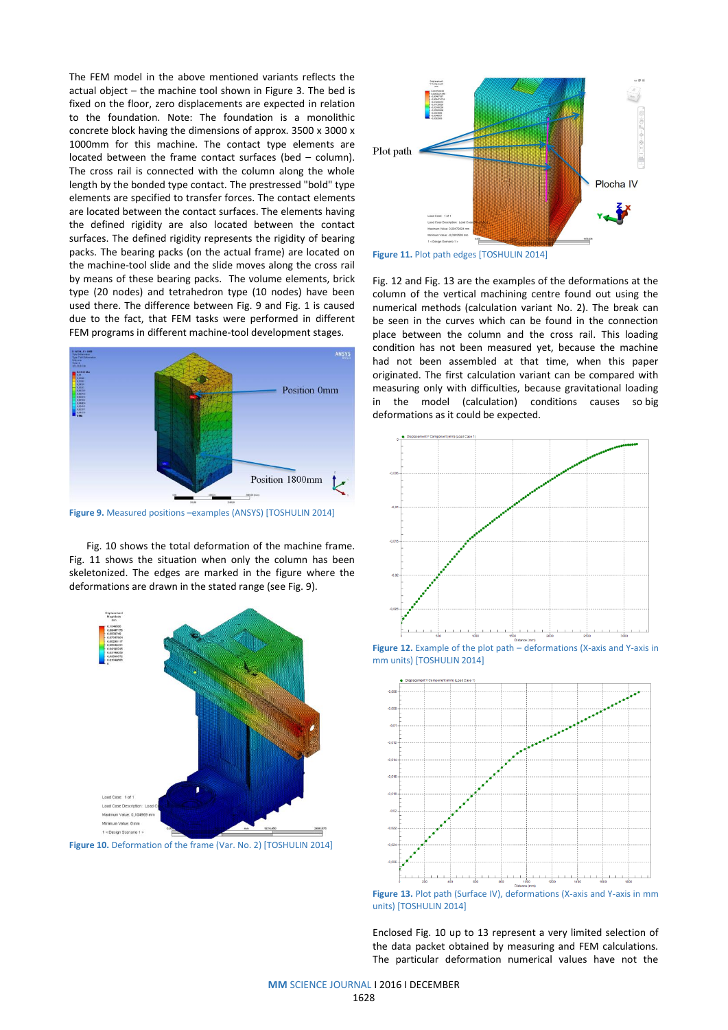The FEM model in the above mentioned variants reflects the actual object – the machine tool shown in Figure 3. The bed is fixed on the floor, zero displacements are expected in relation to the foundation. Note: The foundation is a monolithic concrete block having the dimensions of approx. 3500 x 3000 x 1000mm for this machine. The contact type elements are located between the frame contact surfaces (bed – column). The cross rail is connected with the column along the whole length by the bonded type contact. The prestressed "bold" type elements are specified to transfer forces. The contact elements are located between the contact surfaces. The elements having the defined rigidity are also located between the contact surfaces. The defined rigidity represents the rigidity of bearing packs. The bearing packs (on the actual frame) are located on the machine-tool slide and the slide moves along the cross rail by means of these bearing packs. The volume elements, brick type (20 nodes) and tetrahedron type (10 nodes) have been used there. The difference between Fig. 9 and Fig. 1 is caused due to the fact, that FEM tasks were performed in different FEM programs in different machine-tool development stages.



**Figure 9.** Measured positions –examples (ANSYS) [TOSHULIN 2014]

Fig. 10 shows the total deformation of the machine frame. Fig. 11 shows the situation when only the column has been skeletonized. The edges are marked in the figure where the deformations are drawn in the stated range (see Fig. 9).







**Figure 11.** Plot path edges [TOSHULIN 2014]

Fig. 12 and Fig. 13 are the examples of the deformations at the column of the vertical machining centre found out using the numerical methods (calculation variant No. 2). The break can be seen in the curves which can be found in the connection place between the column and the cross rail. This loading condition has not been measured yet, because the machine had not been assembled at that time, when this paper originated. The first calculation variant can be compared with measuring only with difficulties, because gravitational loading in the model (calculation) conditions causes so big deformations as it could be expected.



**Figure 12.** Example of the plot path – deformations (X-axis and Y-axis in mm units) [TOSHULIN 2014]



**Figure 13.** Plot path (Surface IV), deformations (X-axis and Y-axis in mm) units) [TOSHULIN 2014]

Enclosed Fig. 10 up to 13 represent a very limited selection of the data packet obtained by measuring and FEM calculations. The particular deformation numerical values have not the